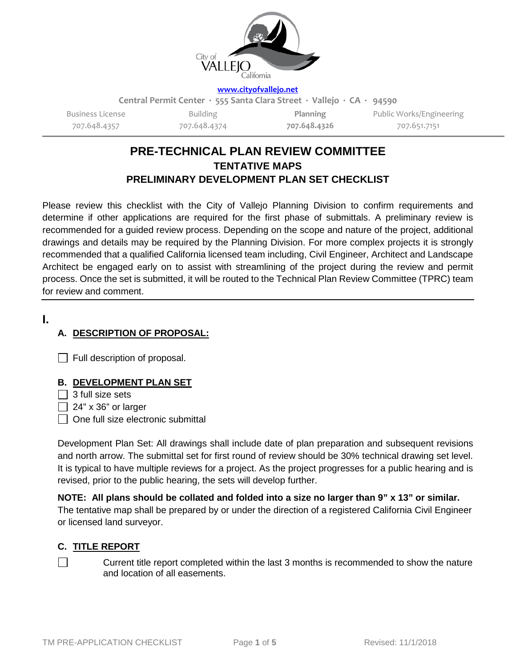

#### **[www.cityofvallejo.net](http://www.cityofvallejo.net/)**

**Central Permit Center ∙ 555 Santa Clara Street ∙ Vallejo ∙ CA ∙ 94590**

Business License 707.648.4357

Building 707.648.4374

**Planning 707.648.4326** Public Works/Engineering 707.651.7151

# **PRE-TECHNICAL PLAN REVIEW COMMITTEE TENTATIVE MAPS PRELIMINARY DEVELOPMENT PLAN SET CHECKLIST**

Please review this checklist with the City of Vallejo Planning Division to confirm requirements and determine if other applications are required for the first phase of submittals. A preliminary review is recommended for a guided review process. Depending on the scope and nature of the project, additional drawings and details may be required by the Planning Division. For more complex projects it is strongly recommended that a qualified California licensed team including, Civil Engineer, Architect and Landscape Architect be engaged early on to assist with streamlining of the project during the review and permit process. Once the set is submitted, it will be routed to the Technical Plan Review Committee (TPRC) team for review and comment.

## **I.**

# **A. DESCRIPTION OF PROPOSAL:**

**Full description of proposal.** 

## **B. DEVELOPMENT PLAN SET**

 $\Box$  3 full size sets

 $\Box$  24" x 36" or larger

 $\Box$  One full size electronic submittal

Development Plan Set: All drawings shall include date of plan preparation and subsequent revisions and north arrow. The submittal set for first round of review should be 30% technical drawing set level. It is typical to have multiple reviews for a project. As the project progresses for a public hearing and is revised, prior to the public hearing, the sets will develop further.

**NOTE: All plans should be collated and folded into a size no larger than 9" x 13" or similar.** The tentative map shall be prepared by or under the direction of a registered California Civil Engineer or licensed land surveyor.

# **C. TITLE REPORT**

Current title report completed within the last 3 months is recommended to show the nature and location of all easements.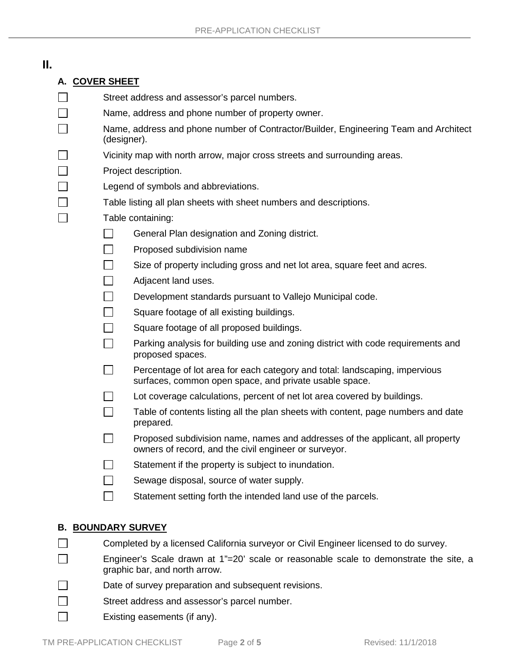| Н.                           |                |                                                                                                                        |                                                                                                                                        |  |
|------------------------------|----------------|------------------------------------------------------------------------------------------------------------------------|----------------------------------------------------------------------------------------------------------------------------------------|--|
|                              | A. COVER SHEET |                                                                                                                        |                                                                                                                                        |  |
|                              |                | Street address and assessor's parcel numbers.                                                                          |                                                                                                                                        |  |
|                              |                | Name, address and phone number of property owner.                                                                      |                                                                                                                                        |  |
|                              |                | Name, address and phone number of Contractor/Builder, Engineering Team and Architect<br>(designer).                    |                                                                                                                                        |  |
|                              |                | Vicinity map with north arrow, major cross streets and surrounding areas.                                              |                                                                                                                                        |  |
|                              |                | Project description.                                                                                                   |                                                                                                                                        |  |
|                              |                | Legend of symbols and abbreviations.                                                                                   |                                                                                                                                        |  |
|                              |                | Table listing all plan sheets with sheet numbers and descriptions.                                                     |                                                                                                                                        |  |
|                              |                | Table containing:                                                                                                      |                                                                                                                                        |  |
|                              |                |                                                                                                                        | General Plan designation and Zoning district.                                                                                          |  |
|                              |                |                                                                                                                        | Proposed subdivision name                                                                                                              |  |
|                              |                |                                                                                                                        | Size of property including gross and net lot area, square feet and acres.                                                              |  |
|                              |                |                                                                                                                        | Adjacent land uses.                                                                                                                    |  |
|                              |                |                                                                                                                        | Development standards pursuant to Vallejo Municipal code.                                                                              |  |
|                              |                |                                                                                                                        | Square footage of all existing buildings.                                                                                              |  |
|                              |                |                                                                                                                        | Square footage of all proposed buildings.                                                                                              |  |
|                              |                |                                                                                                                        | Parking analysis for building use and zoning district with code requirements and<br>proposed spaces.                                   |  |
|                              |                |                                                                                                                        | Percentage of lot area for each category and total: landscaping, impervious<br>surfaces, common open space, and private usable space.  |  |
|                              |                |                                                                                                                        | Lot coverage calculations, percent of net lot area covered by buildings.                                                               |  |
|                              |                |                                                                                                                        | Table of contents listing all the plan sheets with content, page numbers and date<br>prepared.                                         |  |
|                              |                |                                                                                                                        | Proposed subdivision name, names and addresses of the applicant, all property<br>owners of record, and the civil engineer or surveyor. |  |
|                              |                |                                                                                                                        | Statement if the property is subject to inundation.                                                                                    |  |
|                              |                |                                                                                                                        | Sewage disposal, source of water supply.                                                                                               |  |
|                              |                |                                                                                                                        | Statement setting forth the intended land use of the parcels.                                                                          |  |
|                              |                |                                                                                                                        | <b>B. BOUNDARY SURVEY</b>                                                                                                              |  |
|                              |                | Completed by a licensed California surveyor or Civil Engineer licensed to do survey.                                   |                                                                                                                                        |  |
|                              |                | Engineer's Scale drawn at 1"=20' scale or reasonable scale to demonstrate the site, a<br>graphic bar, and north arrow. |                                                                                                                                        |  |
|                              |                | Date of survey preparation and subsequent revisions.                                                                   |                                                                                                                                        |  |
|                              |                | Street address and assessor's parcel number.                                                                           |                                                                                                                                        |  |
| Existing easements (if any). |                |                                                                                                                        |                                                                                                                                        |  |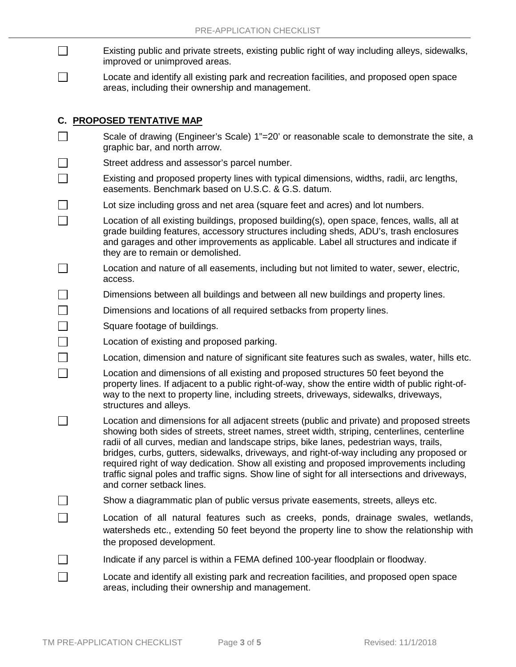- $\Box$ Existing public and private streets, existing public right of way including alleys, sidewalks, improved or unimproved areas.
- Locate and identify all existing park and recreation facilities, and proposed open space  $\Box$ areas, including their ownership and management.

### **C. PROPOSED TENTATIVE MAP**

 $\Box$ 

 $\Box$ П  $\Box$  $\Box$  $\Box$ 

П

- $\Box$ Scale of drawing (Engineer's Scale) 1"=20' or reasonable scale to demonstrate the site, a graphic bar, and north arrow.
	- Street address and assessor's parcel number.
- П Existing and proposed property lines with typical dimensions, widths, radii, arc lengths, easements. Benchmark based on U.S.C. & G.S. datum.
- П Lot size including gross and net area (square feet and acres) and lot numbers.
- П Location of all existing buildings, proposed building(s), open space, fences, walls, all at grade building features, accessory structures including sheds, ADU's, trash enclosures and garages and other improvements as applicable. Label all structures and indicate if they are to remain or demolished.
- $\Box$ Location and nature of all easements, including but not limited to water, sewer, electric, access.
- П Dimensions between all buildings and between all new buildings and property lines.
	- Dimensions and locations of all required setbacks from property lines.
		- Square footage of buildings.
	- Location of existing and proposed parking.
	- Location, dimension and nature of significant site features such as swales, water, hills etc.
	- Location and dimensions of all existing and proposed structures 50 feet beyond the property lines. If adjacent to a public right-of-way, show the entire width of public right-ofway to the next to property line, including streets, driveways, sidewalks, driveways, structures and alleys.
- П Location and dimensions for all adjacent streets (public and private) and proposed streets showing both sides of streets, street names, street width, striping, centerlines, centerline radii of all curves, median and landscape strips, bike lanes, pedestrian ways, trails, bridges, curbs, gutters, sidewalks, driveways, and right-of-way including any proposed or required right of way dedication. Show all existing and proposed improvements including traffic signal poles and traffic signs. Show line of sight for all intersections and driveways, and corner setback lines.
- Show a diagrammatic plan of public versus private easements, streets, alleys etc.  $\Box$ 
	- Location of all natural features such as creeks, ponds, drainage swales, wetlands, watersheds etc., extending 50 feet beyond the property line to show the relationship with the proposed development.
- П Indicate if any parcel is within a FEMA defined 100-year floodplain or floodway.
- П Locate and identify all existing park and recreation facilities, and proposed open space areas, including their ownership and management.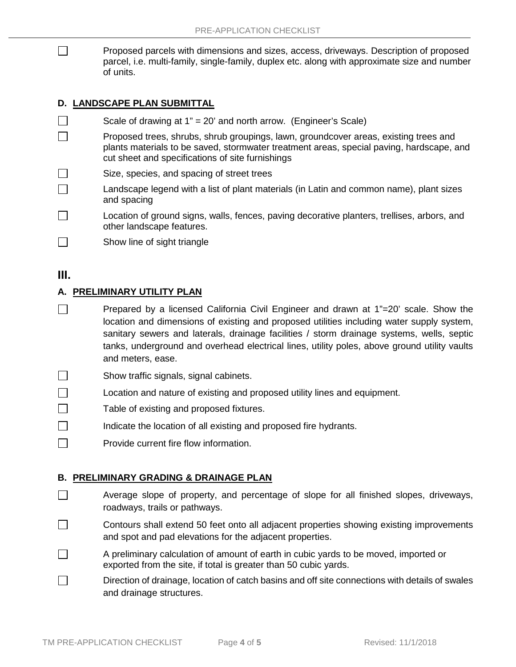Proposed parcels with dimensions and sizes, access, driveways. Description of proposed parcel, i.e. multi-family, single-family, duplex etc. along with approximate size and number of units.

### **D. LANDSCAPE PLAN SUBMITTAL**

- П Scale of drawing at 1" = 20' and north arrow. (Engineer's Scale)  $\Box$ Proposed trees, shrubs, shrub groupings, lawn, groundcover areas, existing trees and plants materials to be saved, stormwater treatment areas, special paving, hardscape, and cut sheet and specifications of site furnishings  $\Box$ Size, species, and spacing of street trees
- Landscape legend with a list of plant materials (in Latin and common name), plant sizes  $\Box$ and spacing
- $\Box$ Location of ground signs, walls, fences, paving decorative planters, trellises, arbors, and other landscape features.
- $\Box$ Show line of sight triangle

# **III.**

 $\Box$ 

### **A. PRELIMINARY UTILITY PLAN**

- $\Box$ Prepared by a licensed California Civil Engineer and drawn at 1"=20' scale. Show the location and dimensions of existing and proposed utilities including water supply system, sanitary sewers and laterals, drainage facilities / storm drainage systems, wells, septic tanks, underground and overhead electrical lines, utility poles, above ground utility vaults and meters, ease.
- $\Box$ Show traffic signals, signal cabinets.
- П Location and nature of existing and proposed utility lines and equipment.
- $\Box$ Table of existing and proposed fixtures.
- П Indicate the location of all existing and proposed fire hydrants.
- П Provide current fire flow information.

#### **B. PRELIMINARY GRADING & DRAINAGE PLAN**

- $\Box$ Average slope of property, and percentage of slope for all finished slopes, driveways, roadways, trails or pathways.
- $\Box$ Contours shall extend 50 feet onto all adjacent properties showing existing improvements and spot and pad elevations for the adjacent properties.
- $\Box$ A preliminary calculation of amount of earth in cubic yards to be moved, imported or exported from the site, if total is greater than 50 cubic yards.
- $\Box$ Direction of drainage, location of catch basins and off site connections with details of swales and drainage structures.